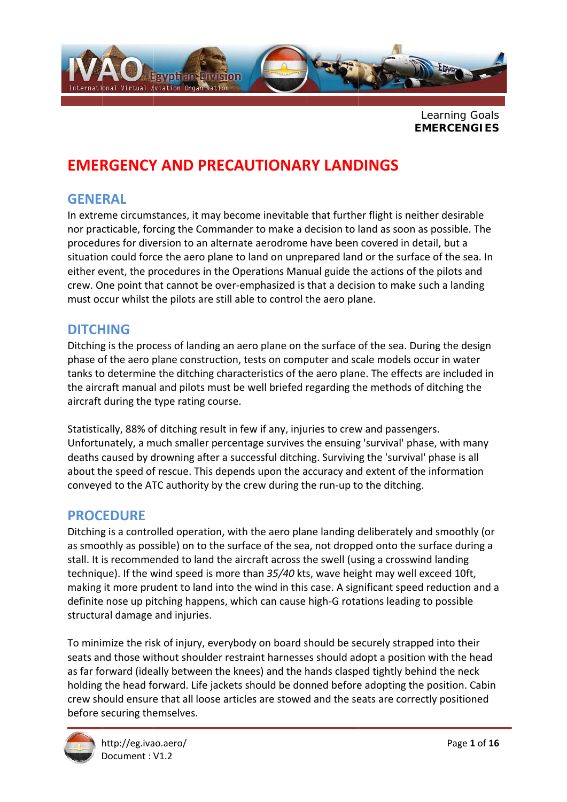

Learning Goals **EMERCENGIES** 

## **EMERGENCY AND PRECAUTIONARY LANDINGS**

#### **GENERAL**

In extreme circumstances, it may become inevitable that further flight is neither desirable nor practicable, forcing the Commander to make a decision to land as soon as possible. The procedures for diversion to an alternate aerodrome have been covered in detail, but a situation could force the aero plane to land on unprepared land or the surface of the sea. In either event, the procedures in the Operations Manual guide the actions of the pilots and crew. One point that cannot be over-emphasized is that a decision to make such a landing must occur whilst the pilots are still able to control the aero plane.

#### **DITCHING**

Ditching is the process of landing an aero plane on the surface of the sea. During the design phase of the aero plane construction, tests on computer and scale models occur in water tanks to determine the ditching characteristics of the aero plane. The effects are included in the aircraft manual and pilots must be well briefed regarding the methods of ditching the aircraft during the type rating course.

Statistically, 88% of ditching result in few if any, injuries to crew and passengers. Unfortunately, a much smaller percentage survives the ensuing 'survival' phase, with many deaths caused by drowning after a successful ditching. Surviving the 'survival' phase is all about the speed of rescue. This depends upon the accuracy and extent of the information conveyed to the ATC authority by the crew during the run-up to the ditching.

#### **PROCEDURE**

Ditching is a controlled operation, with the aero plane landing deliberately and smoothly (or as smoothly as possible) on to the surface of the sea, not dropped onto the surface during a stall. It is recommended to land the aircraft across the swell (using a crosswind landing technique). If the wind speed is more than 35/40 kts, wave height may well exceed 10ft, making it more prudent to land into the wind in this case. A significant speed reduction and a definite nose up pitching happens, which can cause high-G rotations leading to possible structural damage and injuries.

To minimize the risk of injury, everybody on board should be securely strapped into their seats and those without shoulder restraint harnesses should adopt a position with the head as far forward (ideally between the knees) and the hands clasped tightly behind the neck holding the head forward. Life jackets should be donned before adopting the position. Cabin crew should ensure that all loose articles are stowed and the seats are correctly positioned before securing themselves.

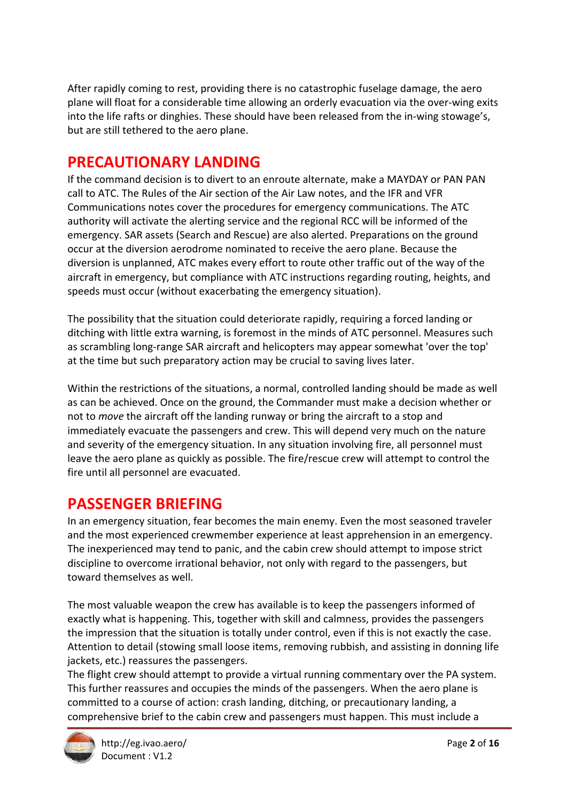After rapidly coming to rest, providing there is no catastrophic fuselage damage, the aero plane will float for a considerable time allowing an orderly evacuation via the over-wing exits into the life rafts or dinghies. These should have been released from the in-wing stowage's, but are still tethered to the aero plane.

## **PRECAUTIONARY LANDING**

If the command decision is to divert to an enroute alternate, make a MAYDAY or PAN PAN call to ATC. The Rules of the Air section of the Air Law notes, and the IFR and VFR Communications notes cover the procedures for emergency communications. The ATC authority will activate the alerting service and the regional RCC will be informed of the emergency. SAR assets (Search and Rescue) are also alerted. Preparations on the ground occur at the diversion aerodrome nominated to receive the aero plane. Because the diversion is unplanned, ATC makes every effort to route other traffic out of the way of the aircraft in emergency, but compliance with ATC instructions regarding routing, heights, and speeds must occur (without exacerbating the emergency situation).

The possibility that the situation could deteriorate rapidly, requiring a forced landing or ditching with little extra warning, is foremost in the minds of ATC personnel. Measures such as scrambling long-range SAR aircraft and helicopters may appear somewhat 'over the top' at the time but such preparatory action may be crucial to saving lives later.

Within the restrictions of the situations, a normal, controlled landing should be made as well as can be achieved. Once on the ground, the Commander must make a decision whether or not to *move* the aircraft off the landing runway or bring the aircraft to a stop and immediately evacuate the passengers and crew. This will depend very much on the nature and severity of the emergency situation. In any situation involving fire, all personnel must leave the aero plane as quickly as possible. The fire/rescue crew will attempt to control the fire until all personnel are evacuated.

### **PASSENGER BRIEFING**

In an emergency situation, fear becomes the main enemy. Even the most seasoned traveler and the most experienced crewmember experience at least apprehension in an emergency. The inexperienced may tend to panic, and the cabin crew should attempt to impose strict discipline to overcome irrational behavior, not only with regard to the passengers, but toward themselves as well.

The most valuable weapon the crew has available is to keep the passengers informed of exactly what is happening. This, together with skill and calmness, provides the passengers the impression that the situation is totally under control, even if this is not exactly the case. Attention to detail (stowing small loose items, removing rubbish, and assisting in donning life jackets, etc.) reassures the passengers.

The flight crew should attempt to provide a virtual running commentary over the PA system. This further reassures and occupies the minds of the passengers. When the aero plane is committed to a course of action: crash landing, ditching, or precautionary landing, a comprehensive brief to the cabin crew and passengers must happen. This must include a

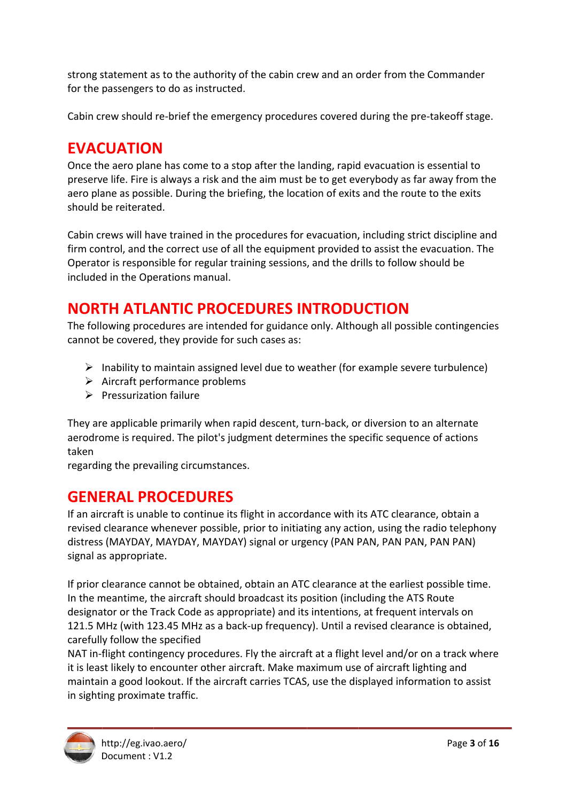strong statement as to the authority of the cabin crew and an order from the Commander for the passengers to do as instructed.

Cabin crew should re-brief the emergency procedures covered during the pre-takeoff stage.

## **EVACUATION**

Once the aero plane has come to a stop after the landing, rapid evacuation is essential to preserve life. Fire is always a risk and the aim must be to get everybody as far away from the aero plane as possible. During the briefing, the location of exits and the route to the exits should be reiterated.

Cabin crews will have trained in the procedures for evacuation, including strict discipline and firm control, and the correct use of all the equipment provided to assist the evacuation. The Operator is responsible for regular training sessions, and the drills to follow should be included in the Operations manual.

## **NORTH ATLANTIC PROCEDURES INTRODUCTION**

The following procedures are intended for guidance only. Although all possible contingencies cannot be covered, they provide for such cases as:

- $\triangleright$  Inability to maintain assigned level due to weather (for example severe turbulence)
- $\triangleright$  Aircraft performance problems
- $\triangleright$  Pressurization failure

They are applicable primarily when rapid descent, turn-back, or diversion to an alternate aerodrome is required. The pilot's judgment determines the specific sequence of actions taken

regarding the prevailing circumstances.

### **GENERAL PROCEDURES**

If an aircraft is unable to continue its flight in accordance with its ATC clearance, obtain a revised clearance whenever possible, prior to initiating any action, using the radio telephony distress (MAYDAY, MAYDAY, MAYDAY) signal or urgency (PAN PAN, PAN PAN, PAN PAN) signal as appropriate.

If prior clearance cannot be obtained, obtain an ATC clearance at the earliest possible time. In the meantime, the aircraft should broadcast its position (including the ATS Route designator or the Track Code as appropriate) and its intentions, at frequent intervals on 121.5 MHz (with 123.45 MHz as a back-up frequency). Until a revised clearance is obtained, carefully follow the specified

NAT in-flight contingency procedures. Fly the aircraft at a flight level and/or on a track where it is least likely to encounter other aircraft. Make maximum use of aircraft lighting and maintain a good lookout. If the aircraft carries TCAS, use the displayed information to assist in sighting proximate traffic.

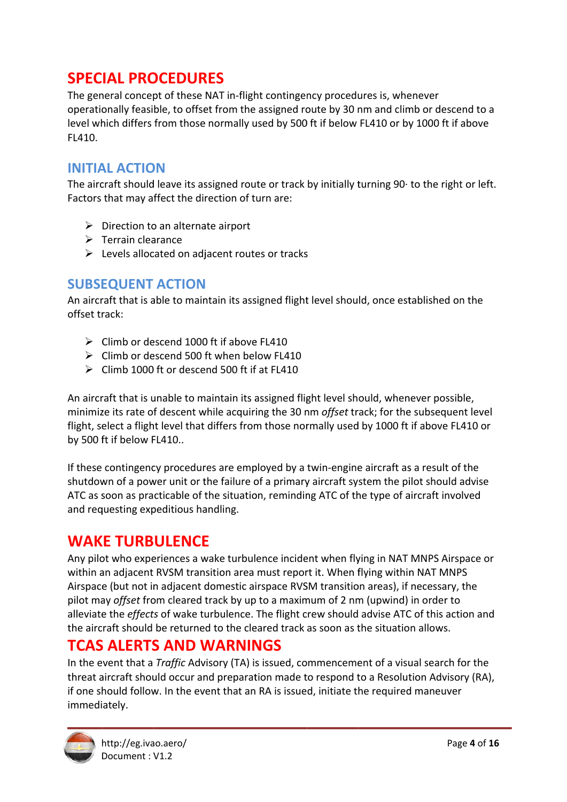## **SPECIAL PROCEDURES**

The general concept of these NAT in-flight contingency procedures is, whenever operationally feasible, to offset from the assigned route by 30 nm and climb or descend to a level which differs from those normally used by 500 ft if below FL410 or by 1000 ft if above FL410.

#### **INITIAL ACTION**

The aircraft should leave its assigned route or track by initially turning 90 to the right or left. Factors that may affect the direction of turn are:

- $\triangleright$  Direction to an alternate airport
- $\triangleright$  Terrain clearance
- $\triangleright$  Levels allocated on adjacent routes or tracks

#### **SUBSEQUENT ACTION**

An aircraft that is able to maintain its assigned flight level should, once established on the offset track:

- $\triangleright$  Climb or descend 1000 ft if above FL410
- $\triangleright$  Climb or descend 500 ft when below FL410
- $\triangleright$  Climb 1000 ft or descend 500 ft if at FL410

An aircraft that is unable to maintain its assigned flight level should, whenever possible, minimize its rate of descent while acquiring the 30 nm offset track; for the subsequent level flight, select a flight level that differs from those normally used by 1000 ft if above FL410 or by 500 ft if below FL410..

If these contingency procedures are employed by a twin-engine aircraft as a result of the shutdown of a power unit or the failure of a primary aircraft system the pilot should advise ATC as soon as practicable of the situation, reminding ATC of the type of aircraft involved and requesting expeditious handling.

#### **WAKE TURBULENCE**

Any pilot who experiences a wake turbulence incident when flying in NAT MNPS Airspace or within an adjacent RVSM transition area must report it. When flying within NAT MNPS Airspace (but not in adjacent domestic airspace RVSM transition areas), if necessary, the pilot may offset from cleared track by up to a maximum of 2 nm (upwind) in order to alleviate the effects of wake turbulence. The flight crew should advise ATC of this action and the aircraft should be returned to the cleared track as soon as the situation allows.

### **TCAS ALERTS AND WARNINGS**

In the event that a Traffic Advisory (TA) is issued, commencement of a visual search for the threat aircraft should occur and preparation made to respond to a Resolution Advisory (RA), if one should follow. In the event that an RA is issued, initiate the required maneuver immediately.

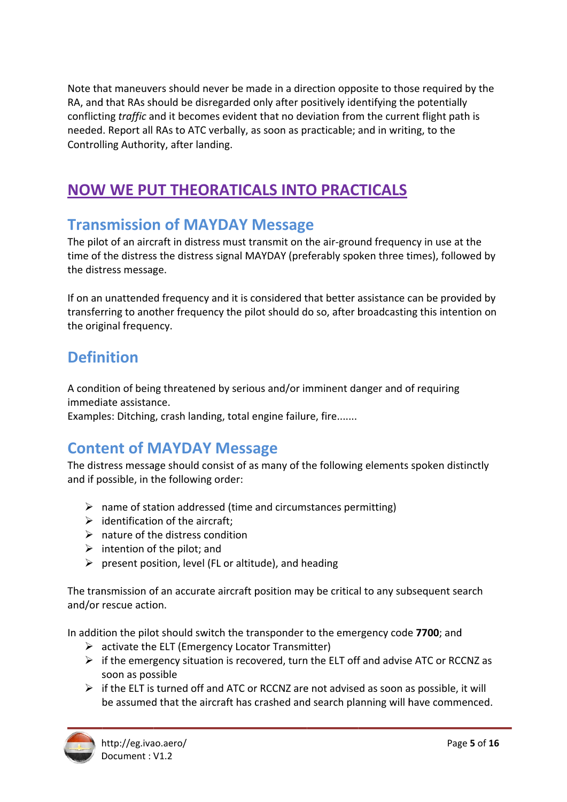Note that maneuvers should never be made in a direction opposite to those required by the RA, and that RAs should be disregarded only after positively identifying the potentially conflicting *traffic* and it becomes evident that no deviation from the current flight path is needed. Report all RAs to ATC verbally, as soon as practicable; and in writing, to the Controlling Authority, after landing.

# **NOW WE PUT THEORATICALS INTO PRACTICALS**

#### **Transmission of MAYDAY Message**

The pilot of an aircraft in distress must transmit on the air-ground frequency in use at the time of the distress the distress signal MAYDAY (preferably spoken three times), followed by the distress message.

If on an unattended frequency and it is considered that better assistance can be provided by transferring to another frequency the pilot should do so, after broadcasting this intention on the original frequency.

## **Definition**

A condition of being threatened by serious and/or imminent danger and of requiring immediate assistance.

Examples: Ditching, crash landing, total engine failure, fire.......

# **Content of MAYDAY Message**

The distress message should consist of as many of the following elements spoken distinctly and if possible, in the following order:

- $\triangleright$  name of station addressed (time and circumstances permitting)
- $\triangleright$  identification of the aircraft:
- $\triangleright$  nature of the distress condition
- $\triangleright$  intention of the pilot; and
- $\triangleright$  present position, level (FL or altitude), and heading

The transmission of an accurate aircraft position may be critical to any subsequent search and/or rescue action.

In addition the pilot should switch the transponder to the emergency code 7700; and

- $\triangleright$  activate the ELT (Emergency Locator Transmitter)
- $\triangleright$  if the emergency situation is recovered, turn the ELT off and advise ATC or RCCNZ as soon as possible
- $\triangleright$  if the ELT is turned off and ATC or RCCNZ are not advised as soon as possible, it will be assumed that the aircraft has crashed and search planning will have commenced.

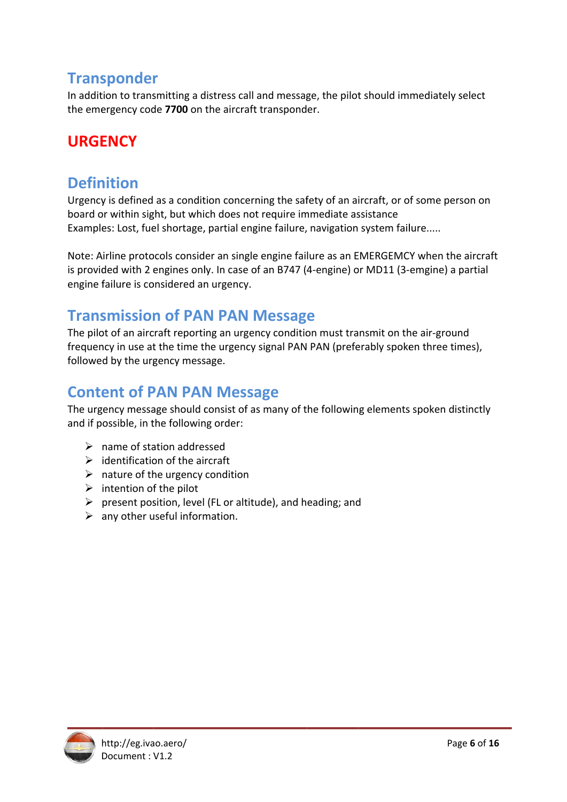### **Transponder**

In addition to transmitting a distress call and message, the pilot should immediately select the emergency code 7700 on the aircraft transponder.

## **URGENCY**

## **Definition**

Urgency is defined as a condition concerning the safety of an aircraft, or of some person on board or within sight, but which does not require immediate assistance Examples: Lost, fuel shortage, partial engine failure, navigation system failure.....

Note: Airline protocols consider an single engine failure as an EMERGEMCY when the aircraft is provided with 2 engines only. In case of an B747 (4-engine) or MD11 (3-emgine) a partial engine failure is considered an urgency.

### **Transmission of PAN PAN Message**

The pilot of an aircraft reporting an urgency condition must transmit on the air-ground frequency in use at the time the urgency signal PAN PAN (preferably spoken three times), followed by the urgency message.

### **Content of PAN PAN Message**

The urgency message should consist of as many of the following elements spoken distinctly and if possible, in the following order:

- $\triangleright$  name of station addressed
- $\triangleright$  identification of the aircraft
- $\triangleright$  nature of the urgency condition
- $\triangleright$  intention of the pilot
- $\triangleright$  present position, level (FL or altitude), and heading; and
- $\triangleright$  any other useful information.

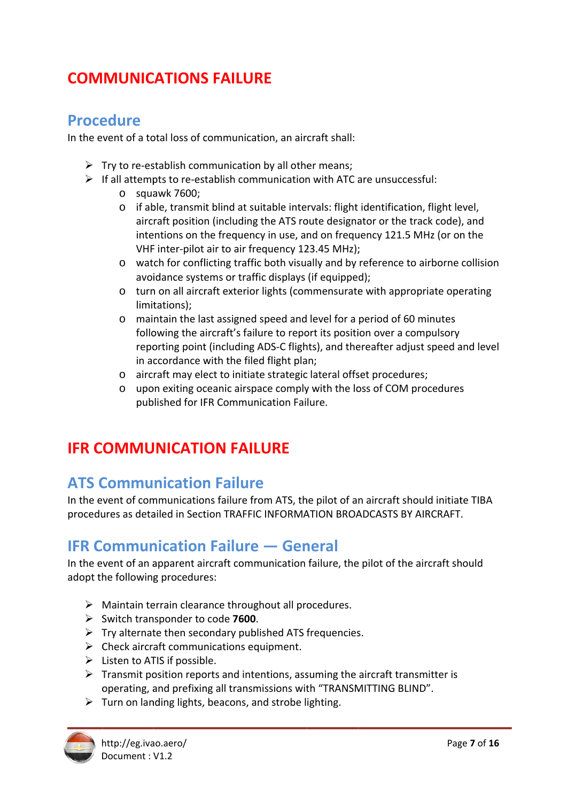# **COMMUNICATIONS FAILURE**

#### **Procedure**

In the event of a total loss of communication, an aircraft shall:

- $\triangleright$  Try to re-establish communication by all other means;
- $\triangleright$  If all attempts to re-establish communication with ATC are unsuccessful:
	- $\circ$  squawk 7600;
	- o if able, transmit blind at suitable intervals: flight identification, flight level, aircraft position (including the ATS route designator or the track code), and intentions on the frequency in use, and on frequency 121.5 MHz (or on the VHF inter-pilot air to air frequency 123.45 MHz);
	- o watch for conflicting traffic both visually and by reference to airborne collision avoidance systems or traffic displays (if equipped);
	- o turn on all aircraft exterior lights (commensurate with appropriate operating limitations);
	- o maintain the last assigned speed and level for a period of 60 minutes following the aircraft's failure to report its position over a compulsory reporting point (including ADS-C flights), and thereafter adjust speed and level in accordance with the filed flight plan;
	- o aircraft may elect to initiate strategic lateral offset procedures;
	- o upon exiting oceanic airspace comply with the loss of COM procedures published for IFR Communication Failure.

## **IFR COMMUNICATION FAILURE**

## **ATS Communication Failure**

In the event of communications failure from ATS, the pilot of an aircraft should initiate TIBA procedures as detailed in Section TRAFFIC INFORMATION BROADCASTS BY AIRCRAFT.

### **IFR Communication Failure – General**

In the event of an apparent aircraft communication failure, the pilot of the aircraft should adopt the following procedures:

- $\triangleright$  Maintain terrain clearance throughout all procedures.
- $\triangleright$  Switch transponder to code 7600.
- $\triangleright$  Try alternate then secondary published ATS frequencies.
- $\triangleright$  Check aircraft communications equipment.
- $\triangleright$  Listen to ATIS if possible.
- $\triangleright$  Transmit position reports and intentions, assuming the aircraft transmitter is operating, and prefixing all transmissions with "TRANSMITTING BLIND".
- $\triangleright$  Turn on landing lights, beacons, and strobe lighting.

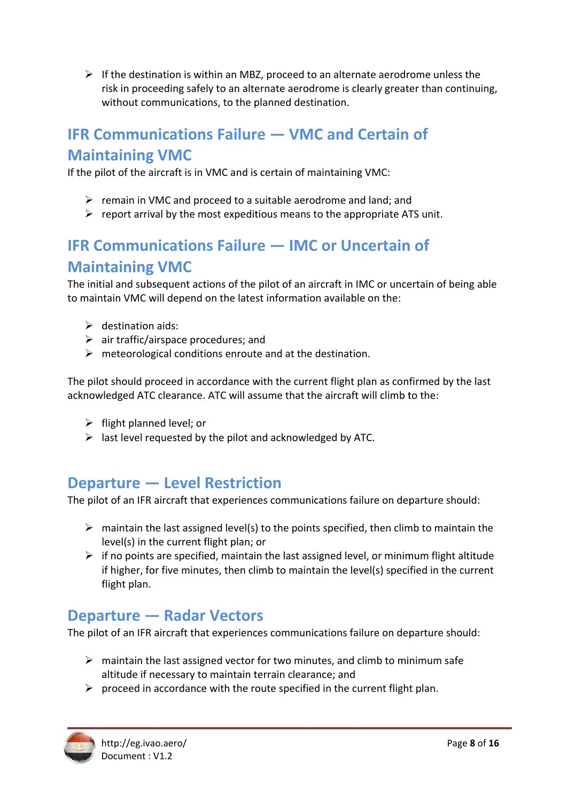> If the destination is within an MBZ, proceed to an alternate aerodrome unless the without communications, to the planned destination. risk in proceeding safely to an alternate aerodrome is clearly greater than continuing,

# **IFR Communications Failure — VMC and Certain of Maintaining VMC**

If the pilot of the aircraft is in VMC and is certain of maintaining VMC:

- > remain in VMC and proceed to a suitable aerodrome and land; and
- ▶ remain in VMC and proceed to a suitable aerodrome and land; and<br>▶ report arrival by the most expeditious means to the appropriate ATS unit.

# **IFR Communications Failure — IMC or Uncertain of Maintaining VMC**

The initial and subsequent actions of the pilot of an aircraft in IMC or uncertain of being able to maintain VMC will depend on the latest information available on the:

- ¾ d destination aids:
- $\triangleright$  air traffic/airspace procedures; and
- > meteorological conditions enroute and at the destination.

The pilot should proceed in accordance with the current flight plan as confirmed by the last acknowledged ATC clearance. ATC will assume that the aircraft will climb to the:

- ¾ f flight plann ned level; or
- ▶ flight planned level; or<br>▶ last level requested by the pilot and acknowledged by ATC.

# **Departure — Level Restriction**

The pilot of an IFR aircraft that experiences communications failure on departure should:

- $\triangleright$  maintain the last assigned level(s) to the points specified, then climb to maintain the level(s) in the current flight plan; or
- $\triangleright$  if no points are specified, maintain the last assigned level, or minimum flight altitude f flight plan. if higher, for five minutes, then climb to maintain the level(s) specified in the current

## **Departure — Radar Vectors**

The pilot of an IFR aircraft that experiences communications failure on departure should:

- > maintain the last assigned vector for two minutes, and climb to minimum safe altitude if necessary to maintain terrain clearance; and
- $\triangleright$  proceed in accordance with the route specified in the current flight plan.

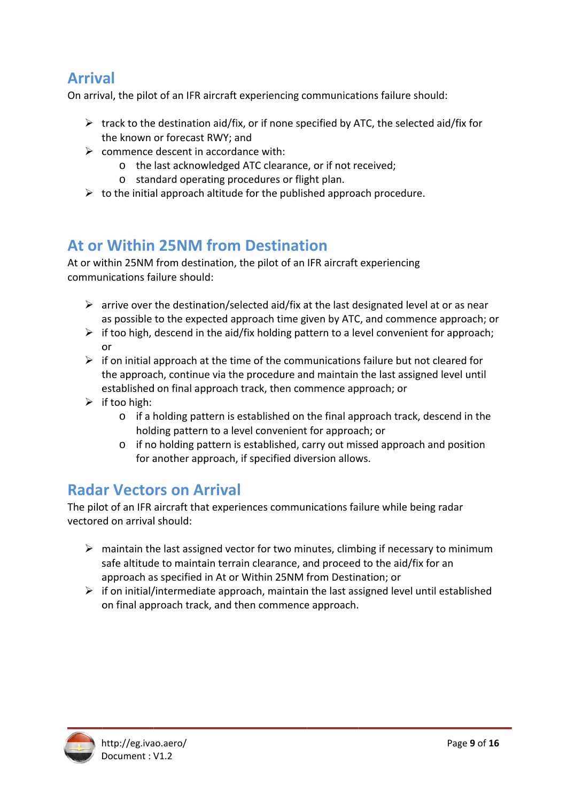## **Arrival**

On arrival, the pilot of an IFR aircraft experiencing communications failure should:

- $\triangleright$  track to the destination aid/fix, or if none specified by ATC, the selected aid/fix for the known or forecast RWY; and
- $\triangleright$  commence descent in accordance with:
	- o the last acknowledged ATC clearance, or if not received;
		- o standard operating procedures or flight plan.
- $\triangleright$  to the initial approach altitude for the published approach procedure.

### At or Within 25NM from Destination

At or within 25NM from destination, the pilot of an IFR aircraft experiencing communications failure should:

- $\triangleright$  arrive over the destination/selected aid/fix at the last designated level at or as near as possible to the expected approach time given by ATC, and commence approach; or
- $\triangleright$  if too high, descend in the aid/fix holding pattern to a level convenient for approach; or
- $\triangleright$  if on initial approach at the time of the communications failure but not cleared for the approach, continue via the procedure and maintain the last assigned level until established on final approach track, then commence approach; or
- $\triangleright$  if too high:
	- o if a holding pattern is established on the final approach track, descend in the holding pattern to a level convenient for approach; or
	- o if no holding pattern is established, carry out missed approach and position for another approach, if specified diversion allows.

### **Radar Vectors on Arrival**

The pilot of an IFR aircraft that experiences communications failure while being radar vectored on arrival should:

- $\triangleright$  maintain the last assigned vector for two minutes, climbing if necessary to minimum safe altitude to maintain terrain clearance, and proceed to the aid/fix for an approach as specified in At or Within 25NM from Destination; or
- $\triangleright$  if on initial/intermediate approach, maintain the last assigned level until established on final approach track, and then commence approach.

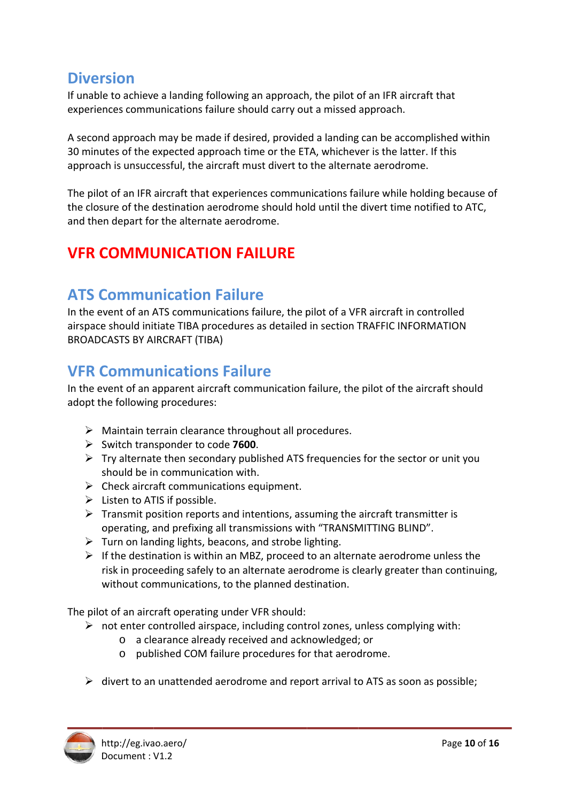### **Diversion**

If unable to achieve a landing following an approach, the pilot of an IFR aircraft that experiences communications failure should carry out a missed approach.

A second approach may be made if desired, provided a landing can be accomplished within 30 minutes of the expected approach time or the ETA, whichever is the latter. If this approach is unsuccessful, the aircraft must divert to the alternate aerodrome.

The pilot of an IFR aircraft that experiences communications failure while holding because of the closure of the destination aerodrome should hold until the divert time notified to ATC, and then depart for the alternate aerodrome.

# **VFR COMMUNICATION FAILURE**

## **ATS Communication Failure**

In the event of an ATS communications failure, the pilot of a VFR aircraft in controlled airspace should initiate TIBA procedures as detailed in section TRAFFIC INFORMATION **BROADCASTS BY AIRCRAFT (TIBA)** 

### **VFR Communications Failure**

In the event of an apparent aircraft communication failure, the pilot of the aircraft should adopt the following procedures:

- $\triangleright$  Maintain terrain clearance throughout all procedures.
- $\triangleright$  Switch transponder to code 7600.
- $\triangleright$  Try alternate then secondary published ATS frequencies for the sector or unit you should be in communication with.
- $\triangleright$  Check aircraft communications equipment.
- $\triangleright$  Listen to ATIS if possible.
- $\triangleright$  Transmit position reports and intentions, assuming the aircraft transmitter is operating, and prefixing all transmissions with "TRANSMITTING BLIND".
- $\triangleright$  Turn on landing lights, beacons, and strobe lighting.
- $\triangleright$  If the destination is within an MBZ, proceed to an alternate aerodrome unless the risk in proceeding safely to an alternate aerodrome is clearly greater than continuing, without communications, to the planned destination.

The pilot of an aircraft operating under VFR should:

- $\triangleright$  not enter controlled airspace, including control zones, unless complying with:
	- o a clearance already received and acknowledged; or
	- o published COM failure procedures for that aerodrome.
- $\triangleright$  divert to an unattended aerodrome and report arrival to ATS as soon as possible;

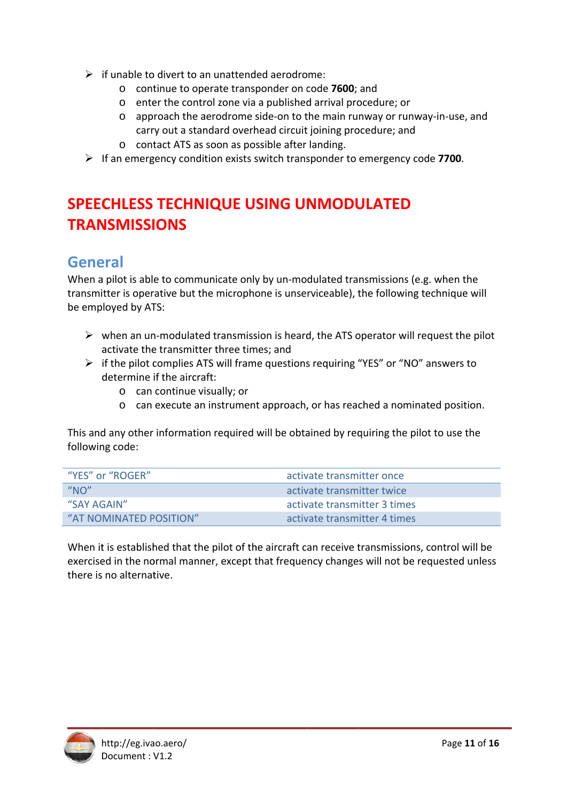- $\triangleright$  if unable to divert to an unattended aerodrome:
	- o continue to operate transponder on code 7600; and
	- o enter the control zone via a published arrival procedure; or
	- o approach the aerodrome side-on to the main runway or runway-in-use, and carry out a standard overhead circuit joining procedure; and
	- o contact ATS as soon as possible after landing.
- $\triangleright$  If an emergency condition exists switch transponder to emergency code 7700.

# **SPEECHLESS TECHNIQUE USING UNMODULATED TRANSMISSIONS**

## **General**

When a pilot is able to communicate only by un-modulated transmissions (e.g. when the transmitter is operative but the microphone is unserviceable), the following technique will be employed by ATS:

- $\triangleright$  when an un-modulated transmission is heard, the ATS operator will request the pilot activate the transmitter three times; and
- $\triangleright$  if the pilot complies ATS will frame questions requiring "YES" or "NO" answers to determine if the aircraft:
	- $\circ$  can continue visually; or
	- o can execute an instrument approach, or has reached a nominated position.

This and any other information required will be obtained by requiring the pilot to use the following code:

| "YES" or "ROGER"        | activate transmitter once    |
|-------------------------|------------------------------|
| " $NO$ "                | activate transmitter twice   |
| "SAY AGAIN"             | activate transmitter 3 times |
| "AT NOMINATED POSITION" | activate transmitter 4 times |

When it is established that the pilot of the aircraft can receive transmissions, control will be exercised in the normal manner, except that frequency changes will not be requested unless there is no alternative.

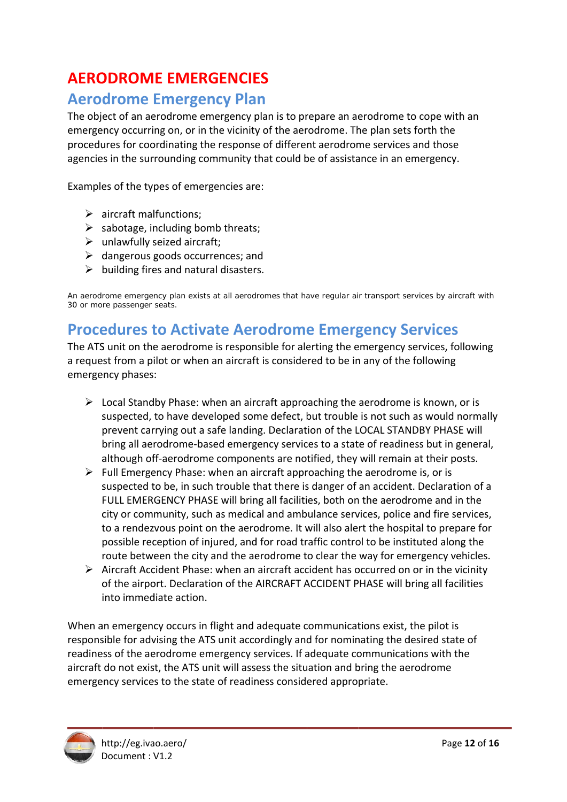# **AERODROME EMERGENCIES**

### **Aerodrome Emergency Plan**

The object of an aerodrome emergency plan is to prepare an aerodrome to cope with an emergency occurring on, or in the vicinity of the aerodrome. The plan sets forth the procedures for coordinating the response of different aerodrome services and those agencies in the surrounding community that could be of assistance in an emergency.

Examples of the types of emergencies are:

- $\triangleright$  aircraft malfunctions;
- $\triangleright$  sabotage, including bomb threats;
- $\triangleright$  unlawfully seized aircraft;
- $\triangleright$  dangerous goods occurrences; and
- $\triangleright$  building fires and natural disasters.

An aerodrome emergency plan exists at all aerodromes that have regular air transport services by aircraft with 30 or more passenger seats.

#### **Procedures to Activate Aerodrome Emergency Services**

The ATS unit on the aerodrome is responsible for alerting the emergency services, following a request from a pilot or when an aircraft is considered to be in any of the following emergency phases:

- $\triangleright$  Local Standby Phase: when an aircraft approaching the aerodrome is known, or is suspected, to have developed some defect, but trouble is not such as would normally prevent carrying out a safe landing. Declaration of the LOCAL STANDBY PHASE will bring all aerodrome-based emergency services to a state of readiness but in general, although off-aerodrome components are notified, they will remain at their posts.
- $\triangleright$  Full Emergency Phase: when an aircraft approaching the aerodrome is, or is suspected to be, in such trouble that there is danger of an accident. Declaration of a FULL EMERGENCY PHASE will bring all facilities, both on the aerodrome and in the city or community, such as medical and ambulance services, police and fire services, to a rendezvous point on the aerodrome. It will also alert the hospital to prepare for possible reception of injured, and for road traffic control to be instituted along the route between the city and the aerodrome to clear the way for emergency vehicles.
- $\triangleright$  Aircraft Accident Phase: when an aircraft accident has occurred on or in the vicinity of the airport. Declaration of the AIRCRAFT ACCIDENT PHASE will bring all facilities into immediate action.

When an emergency occurs in flight and adequate communications exist, the pilot is responsible for advising the ATS unit accordingly and for nominating the desired state of readiness of the aerodrome emergency services. If adequate communications with the aircraft do not exist, the ATS unit will assess the situation and bring the aerodrome emergency services to the state of readiness considered appropriate.

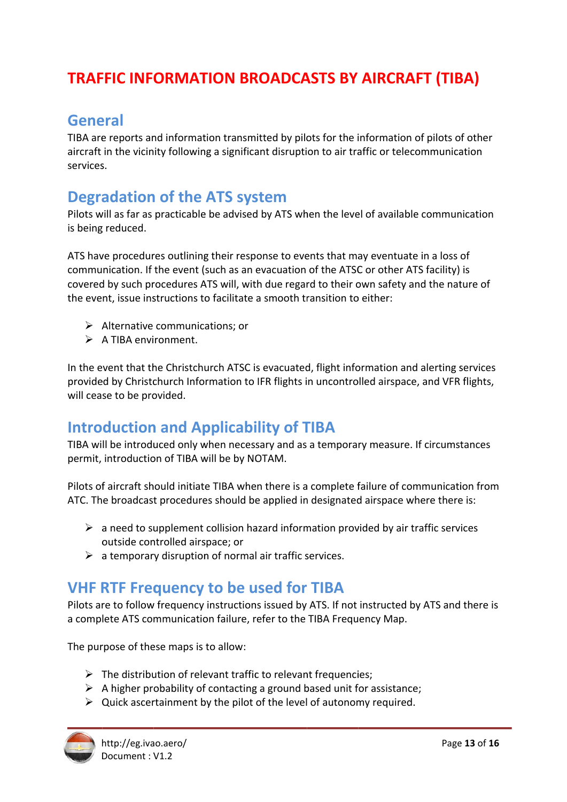# **TRAFFIC INFORMATION BROADCASTS BY AIRCRAFT (TIBA)**

## **General**

TIBA are reports and information transmitted by pilots for the information of pilots of other aircraft in the vicinity following a significant disruption to air traffic or telecommunication services.

### **Degradation of the ATS system**

Pilots will as far as practicable be advised by ATS when the level of available communication is being reduced.

ATS have procedures outlining their response to events that may eventuate in a loss of communication. If the event (such as an evacuation of the ATSC or other ATS facility) is covered by such procedures ATS will, with due regard to their own safety and the nature of the event, issue instructions to facilitate a smooth transition to either:

- $\triangleright$  Alternative communications: or
- $\triangleright$  A TIBA environment.

In the event that the Christchurch ATSC is evacuated, flight information and alerting services provided by Christchurch Information to IFR flights in uncontrolled airspace, and VFR flights, will cease to be provided.

## **Introduction and Applicability of TIBA**

TIBA will be introduced only when necessary and as a temporary measure. If circumstances permit, introduction of TIBA will be by NOTAM.

Pilots of aircraft should initiate TIBA when there is a complete failure of communication from ATC. The broadcast procedures should be applied in designated airspace where there is:

- $\triangleright$  a need to supplement collision hazard information provided by air traffic services outside controlled airspace: or
- $\triangleright$  a temporary disruption of normal air traffic services.

### **VHF RTF Frequency to be used for TIBA**

Pilots are to follow frequency instructions issued by ATS. If not instructed by ATS and there is a complete ATS communication failure, refer to the TIBA Frequency Map.

The purpose of these maps is to allow:

- $\triangleright$  The distribution of relevant traffic to relevant frequencies;
- $\triangleright$  A higher probability of contacting a ground based unit for assistance;
- $\triangleright$  Quick ascertainment by the pilot of the level of autonomy required.

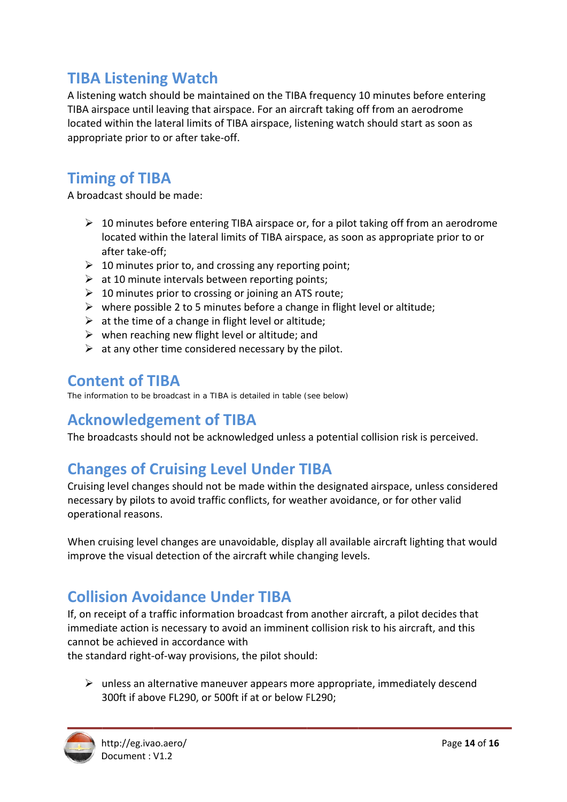# **TIBA Listening Watch**

A listening watch should be maintained on the TIBA frequency 10 minutes before entering TIBA airspace until leaving that airspace. For an aircraft taking off from an aerodrome TIBA airspace until leaving that airspace. For an aircraft taking off from an aerodrome<br>located within the lateral limits of TIBA airspace, listening watch should start as soon as appropriate prior to or after take-off.

# **Timing of TIBA**

A broadcast should be made:

- ▶ 10 minutes before entering TIBA airspace or, for a pilot taking off from an aerodrome after take-off; located within the lateral limits of TIBA airspace, as soon as appropriate prior to or
- $\geq 10$  minutes prior to, and crossing any reporting point;
- $\triangleright$  at 10 minute intervals between reporting points;
- > 10 minutes prior to crossing or joining an ATS route;
- > where possible 2 to 5 minutes before a change in flight level or altitude;
- $\triangleright$  at the time of a change in flight level or altitude;
- $\triangleright$  when reaching new flight level or altitude; and
- $\triangleright$  at any other time considered necessary by the pilot.

## **Content of TIBA**

The information to be broadcast in a TIBA is detailed in table (see below)

## **Acknowledgement of TIBA**

The broadcasts should not be acknowledged unless a potential collision risk is perceived.

# **Changes of Cruising Level Under TIBA**

Cruising level changes should not be made within the designated airspace, unless considered necessary by pilots to avoid traffic conflicts, for weather avoidance, or for other valid operational reasons.

When cruising level changes are unavoidable, display all available aircraft lighting that would improve the visual detection of the aircraft while changing levels.

# **Collision Avoidance Under TIBA**

If, on receipt of a traffic information broadcast from another aircraft, a pilot decides that immediate action is necessary to avoid an imminent collision risk to his aircraft, and this cannot be achieved in accordance with

the standard right-of-way provisions, the pilot should:

> unless an alternative maneuver appears more appropriate, immediately descend 300ft if above FL290, or 500ft if at or below FL290;

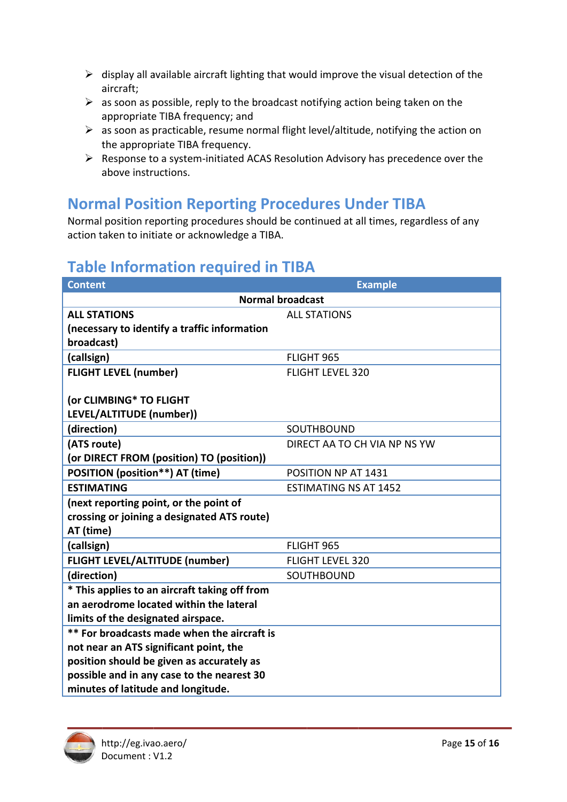- $\triangleright$  display all available aircraft lighting that would improve the visual detection of the aircraft;
- $\triangleright$  as soon as possible, reply to the broadcast notifying action being taken on the appropriate TIBA frequency; and
- $\triangleright$  as soon as practicable, resume normal flight level/altitude, notifying the action on the appropriate TIBA frequency.
- $\triangleright$  Response to a system-initiated ACAS Resolution Advisory has precedence over the above instructions.

## **Normal Position Reporting Procedures Under TIBA**

Normal position reporting procedures should be continued at all times, regardless of any action taken to initiate or acknowledge a TIBA.

## **Table Information required in TIBA**

| <b>Content</b>                                | <b>Example</b>               |  |  |
|-----------------------------------------------|------------------------------|--|--|
| <b>Normal broadcast</b>                       |                              |  |  |
| <b>ALL STATIONS</b>                           | <b>ALL STATIONS</b>          |  |  |
| (necessary to identify a traffic information  |                              |  |  |
| broadcast)                                    |                              |  |  |
| (callsign)                                    | FLIGHT 965                   |  |  |
| <b>FLIGHT LEVEL (number)</b>                  | <b>FLIGHT LEVEL 320</b>      |  |  |
|                                               |                              |  |  |
| (or CLIMBING* TO FLIGHT                       |                              |  |  |
| LEVEL/ALTITUDE (number))                      |                              |  |  |
| (direction)                                   | SOUTHBOUND                   |  |  |
| (ATS route)                                   | DIRECT AA TO CH VIA NP NS YW |  |  |
| (or DIRECT FROM (position) TO (position))     |                              |  |  |
| POSITION (position**) AT (time)               | POSITION NP AT 1431          |  |  |
| <b>ESTIMATING</b>                             | <b>ESTIMATING NS AT 1452</b> |  |  |
| (next reporting point, or the point of        |                              |  |  |
| crossing or joining a designated ATS route)   |                              |  |  |
| AT (time)                                     |                              |  |  |
| (callsign)                                    | FLIGHT 965                   |  |  |
| <b>FLIGHT LEVEL/ALTITUDE (number)</b>         | <b>FLIGHT LEVEL 320</b>      |  |  |
| (direction)                                   | SOUTHBOUND                   |  |  |
| * This applies to an aircraft taking off from |                              |  |  |
| an aerodrome located within the lateral       |                              |  |  |
| limits of the designated airspace.            |                              |  |  |
| ** For broadcasts made when the aircraft is   |                              |  |  |
| not near an ATS significant point, the        |                              |  |  |
| position should be given as accurately as     |                              |  |  |
| possible and in any case to the nearest 30    |                              |  |  |
| minutes of latitude and longitude.            |                              |  |  |